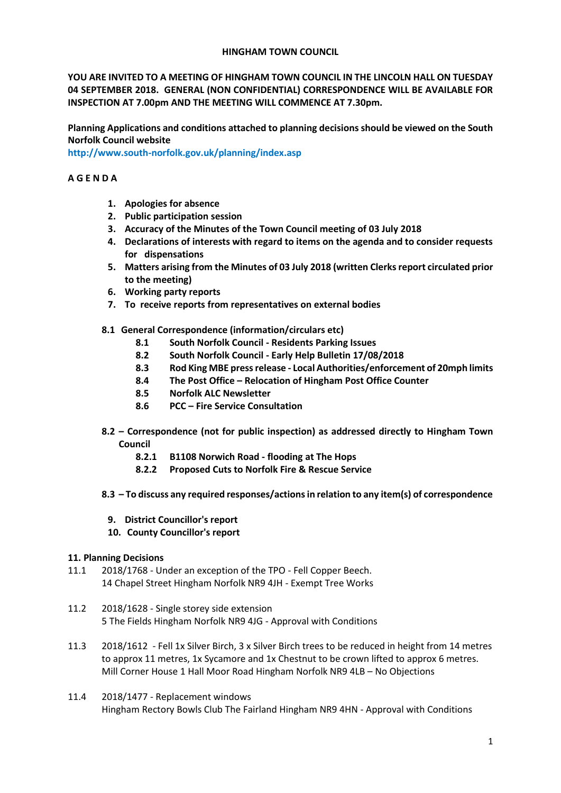## **HINGHAM TOWN COUNCIL**

**YOU ARE INVITED TO A MEETING OF HINGHAM TOWN COUNCIL IN THE LINCOLN HALL ON TUESDAY 04 SEPTEMBER 2018. GENERAL (NON CONFIDENTIAL) CORRESPONDENCE WILL BE AVAILABLE FOR INSPECTION AT 7.00pm AND THE MEETING WILL COMMENCE AT 7.30pm.** 

**Planning Applications and conditions attached to planning decisions should be viewed on the South Norfolk Council website** 

**<http://www.south-norfolk.gov.uk/planning/index.asp>**

## **A G E N D A**

- **1. Apologies for absence**
- **2. Public participation session**
- **3. Accuracy of the Minutes of the Town Council meeting of 03 July 2018**
- **4. Declarations of interests with regard to items on the agenda and to consider requests for dispensations**
- **5. Matters arising from the Minutes of 03 July 2018 (written Clerksreport circulated prior to the meeting)**
- **6. Working party reports**
- **7. To receive reports from representatives on external bodies**
- **8.1 General Correspondence (information/circulars etc)**
	- **8.1 South Norfolk Council - Residents Parking Issues**
	- **8.2 South Norfolk Council - Early Help Bulletin 17/08/2018**
	- **8.3 Rod King MBE press release - Local Authorities/enforcement of 20mph limits**
	- **8.4 The Post Office – Relocation of Hingham Post Office Counter**
	- **8.5 Norfolk ALC Newsletter**
	- **8.6 PCC – Fire Service Consultation**
- **8.2 – Correspondence (not for public inspection) as addressed directly to Hingham Town Council**
	- **8.2.1 B1108 Norwich Road - flooding at The Hops**
	- **8.2.2 Proposed Cuts to Norfolk Fire & Rescue Service**
- **8.3 – To discuss any required responses/actions in relation to any item(s) of correspondence** 
	- **9. District Councillor's report**
	- **10. County Councillor's report**

## **11. Planning Decisions**

- 11.1 2018/1768 Under an exception of the TPO Fell Copper Beech. 14 Chapel Street Hingham Norfolk NR9 4JH - Exempt Tree Works
- 11.2 2018/1628 Single storey side extension 5 The Fields Hingham Norfolk NR9 4JG - Approval with Conditions
- 11.3 2018/1612 Fell 1x Silver Birch, 3 x Silver Birch trees to be reduced in height from 14 metres to approx 11 metres, 1x Sycamore and 1x Chestnut to be crown lifted to approx 6 metres. Mill Corner House 1 Hall Moor Road Hingham Norfolk NR9 4LB – No Objections
- 11.4 2018/1477 Replacement windows Hingham Rectory Bowls Club The Fairland Hingham NR9 4HN - Approval with Conditions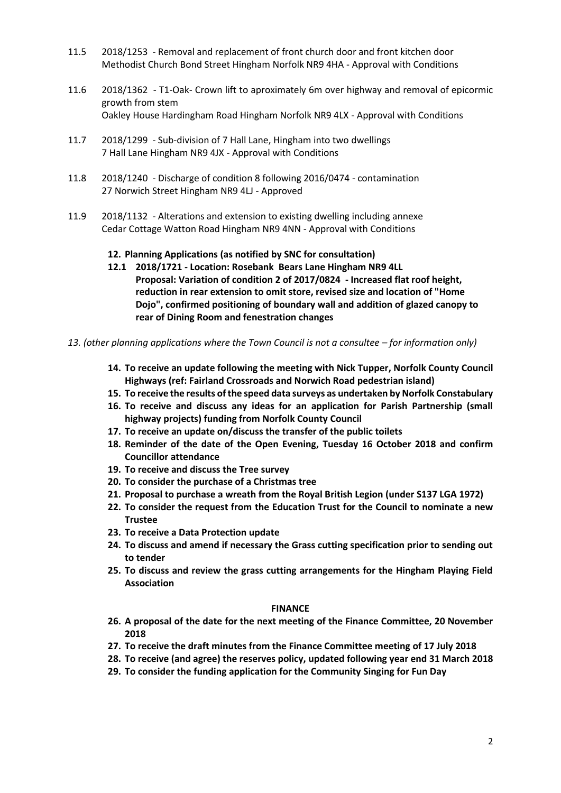- 11.5 2018/1253 Removal and replacement of front church door and front kitchen door Methodist Church Bond Street Hingham Norfolk NR9 4HA - Approval with Conditions
- 11.6 2018/1362 T1-Oak- Crown lift to aproximately 6m over highway and removal of epicormic growth from stem Oakley House Hardingham Road Hingham Norfolk NR9 4LX - Approval with Conditions
- 11.7 2018/1299 Sub-division of 7 Hall Lane, Hingham into two dwellings 7 Hall Lane Hingham NR9 4JX - Approval with Conditions
- 11.8 2018/1240 Discharge of condition 8 following 2016/0474 contamination 27 Norwich Street Hingham NR9 4LJ - Approved
- 11.9 2018/1132 Alterations and extension to existing dwelling including annexe Cedar Cottage Watton Road Hingham NR9 4NN - Approval with Conditions

## **12. Planning Applications (as notified by SNC for consultation)**

- **12.1 2018/1721 - Location: Rosebank Bears Lane Hingham NR9 4LL Proposal: Variation of condition 2 of 2017/0824 - Increased flat roof height, reduction in rear extension to omit store, revised size and location of "Home Dojo", confirmed positioning of boundary wall and addition of glazed canopy to rear of Dining Room and fenestration changes**
- *13. (other planning applications where the Town Council is not a consultee – for information only)*
	- **14. To receive an update following the meeting with Nick Tupper, Norfolk County Council Highways (ref: Fairland Crossroads and Norwich Road pedestrian island)**
	- **15. To receive the results of the speed data surveys as undertaken by Norfolk Constabulary**
	- **16. To receive and discuss any ideas for an application for Parish Partnership (small highway projects) funding from Norfolk County Council**
	- **17. To receive an update on/discuss the transfer of the public toilets**
	- **18. Reminder of the date of the Open Evening, Tuesday 16 October 2018 and confirm Councillor attendance**
	- **19. To receive and discuss the Tree survey**
	- **20. To consider the purchase of a Christmas tree**
	- **21. Proposal to purchase a wreath from the Royal British Legion (under S137 LGA 1972)**
	- **22. To consider the request from the Education Trust for the Council to nominate a new Trustee**
	- **23. To receive a Data Protection update**
	- **24. To discuss and amend if necessary the Grass cutting specification prior to sending out to tender**
	- **25. To discuss and review the grass cutting arrangements for the Hingham Playing Field Association**

#### **FINANCE**

- **26. A proposal of the date for the next meeting of the Finance Committee, 20 November 2018**
- **27. To receive the draft minutes from the Finance Committee meeting of 17 July 2018**
- **28. To receive (and agree) the reserves policy, updated following year end 31 March 2018**
- **29. To consider the funding application for the Community Singing for Fun Day**